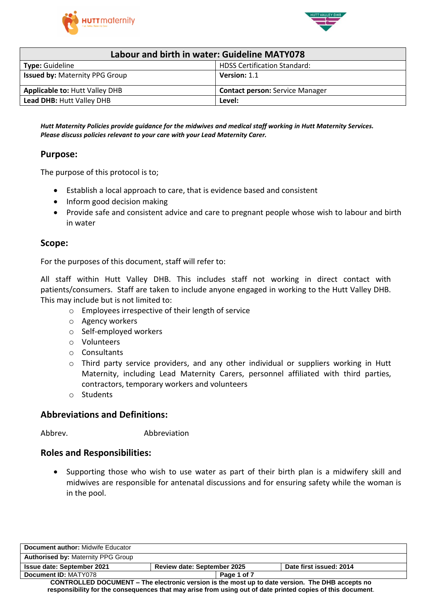



| Labour and birth in water: Guideline MATY078                  |                                        |  |
|---------------------------------------------------------------|----------------------------------------|--|
| <b>HDSS Certification Standard:</b><br><b>Type: Guideline</b> |                                        |  |
| <b>Issued by: Maternity PPG Group</b>                         | Version: 1.1                           |  |
| <b>Applicable to: Hutt Valley DHB</b>                         | <b>Contact person: Service Manager</b> |  |
| Lead DHB: Hutt Valley DHB<br>Level:                           |                                        |  |

*Hutt Maternity Policies provide guidance for the midwives and medical staff working in Hutt Maternity Services. Please discuss policies relevant to your care with your Lead Maternity Carer.*

### **Purpose:**

The purpose of this protocol is to;

- Establish a local approach to care, that is evidence based and consistent
- Inform good decision making
- Provide safe and consistent advice and care to pregnant people whose wish to labour and birth in water

#### **Scope:**

For the purposes of this document, staff will refer to:

All staff within Hutt Valley DHB. This includes staff not working in direct contact with patients/consumers. Staff are taken to include anyone engaged in working to the Hutt Valley DHB. This may include but is not limited to:

- o Employees irrespective of their length of service
- o Agency workers
- o Self-employed workers
- o Volunteers
- o Consultants
- $\circ$  Third party service providers, and any other individual or suppliers working in Hutt Maternity, including Lead Maternity Carers, personnel affiliated with third parties, contractors, temporary workers and volunteers
- o Students

#### **Abbreviations and Definitions:**

Abbrev. Abbreviation

#### **Roles and Responsibilities:**

 Supporting those who wish to use water as part of their birth plan is a midwifery skill and midwives are responsible for antenatal discussions and for ensuring safety while the woman is in the pool.

| Document author: Midwife Educator                                                                          |                                    |                         |  |
|------------------------------------------------------------------------------------------------------------|------------------------------------|-------------------------|--|
| <b>Authorised by: Maternity PPG Group</b>                                                                  |                                    |                         |  |
| <b>Issue date: September 2021</b>                                                                          | <b>Review date: September 2025</b> | Date first issued: 2014 |  |
| Document ID: MATY078                                                                                       | Page 1 of 7                        |                         |  |
| CONTROLLED DOCUMENT – The electronic version is the most up to date version. The DHB accepts no            |                                    |                         |  |
| responsibility for the consequences that may arise from using out of date printed copies of this document. |                                    |                         |  |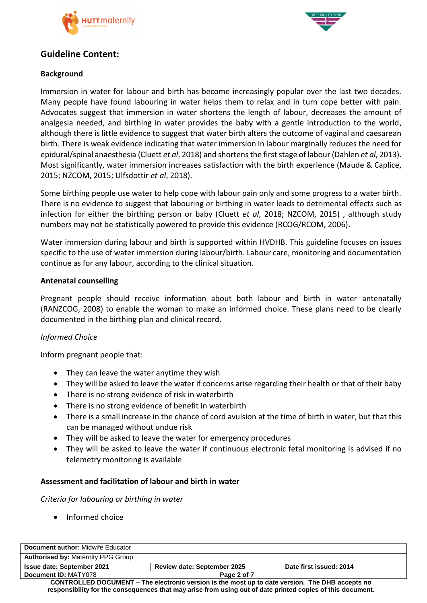



## **Guideline Content:**

## **Background**

Immersion in water for labour and birth has become increasingly popular over the last two decades. Many people have found labouring in water helps them to relax and in turn cope better with pain. Advocates suggest that immersion in water shortens the length of labour, decreases the amount of analgesia needed, and birthing in water provides the baby with a gentle introduction to the world, although there is little evidence to suggest that water birth alters the outcome of vaginal and caesarean birth. There is weak evidence indicating that water immersion in labour marginally reduces the need for epidural/spinal anaesthesia (Cluett *et al*, 2018) and shortens the first stage of labour (Dahlen *et al*, 2013). Most significantly, water immersion increases satisfaction with the birth experience (Maude & Caplice, 2015; NZCOM, 2015; Ulfsdottir *et al*, 2018).

Some birthing people use water to help cope with labour pain only and some progress to a water birth. There is no evidence to suggest that labouring *or* birthing in water leads to detrimental effects such as infection for either the birthing person or baby (Cluett *et al*, 2018; NZCOM, 2015) , although study numbers may not be statistically powered to provide this evidence (RCOG/RCOM, 2006).

Water immersion during labour and birth is supported within HVDHB. This guideline focuses on issues specific to the use of water immersion during labour/birth. Labour care, monitoring and documentation continue as for any labour, according to the clinical situation.

#### **Antenatal counselling**

Pregnant people should receive information about both labour and birth in water antenatally (RANZCOG, 2008) to enable the woman to make an informed choice. These plans need to be clearly documented in the birthing plan and clinical record.

### *Informed Choice*

Inform pregnant people that:

- They can leave the water anytime they wish
- They will be asked to leave the water if concerns arise regarding their health or that of their baby
- There is no strong evidence of risk in waterbirth
- There is no strong evidence of benefit in waterbirth
- There is a small increase in the chance of cord avulsion at the time of birth in water, but that this can be managed without undue risk
- They will be asked to leave the water for emergency procedures
- They will be asked to leave the water if continuous electronic fetal monitoring is advised if no telemetry monitoring is available

### **Assessment and facilitation of labour and birth in water**

*Criteria for labouring or birthing in water*

• Informed choice

| Document author: Midwife Educator                                                               |                                    |             |                         |
|-------------------------------------------------------------------------------------------------|------------------------------------|-------------|-------------------------|
| <b>Authorised by: Maternity PPG Group</b>                                                       |                                    |             |                         |
| <b>Issue date: September 2021</b>                                                               | <b>Review date: September 2025</b> |             | Date first issued: 2014 |
| Document ID: MATY078                                                                            |                                    | Page 2 of 7 |                         |
| CONTROLLED DOCUMENT – The electronic version is the most up to date version. The DHB accepts no |                                    |             |                         |

**responsibility for the consequences that may arise from using out of date printed copies of this document**.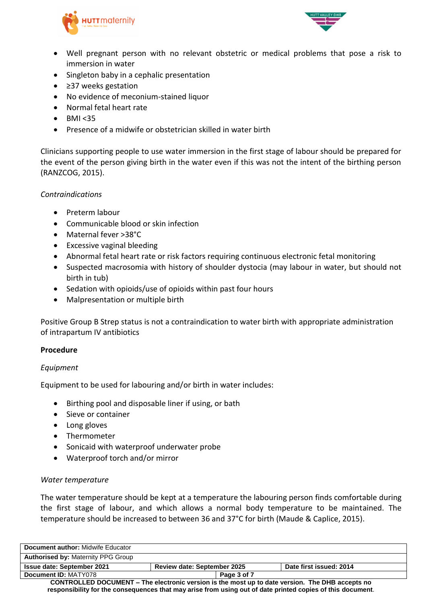



- Well pregnant person with no relevant obstetric or medical problems that pose a risk to immersion in water
- Singleton baby in a cephalic presentation
- ≥37 weeks gestation
- No evidence of meconium-stained liquor
- Normal fetal heart rate
- $-BMI < 35$
- Presence of a midwife or obstetrician skilled in water birth

Clinicians supporting people to use water immersion in the first stage of labour should be prepared for the event of the person giving birth in the water even if this was not the intent of the birthing person (RANZCOG, 2015).

#### *Contraindications*

- Preterm labour
- Communicable blood or skin infection
- Maternal fever >38°C
- Excessive vaginal bleeding
- Abnormal fetal heart rate or risk factors requiring continuous electronic fetal monitoring
- Suspected macrosomia with history of shoulder dystocia (may labour in water, but should not birth in tub)
- Sedation with opioids/use of opioids within past four hours
- Malpresentation or multiple birth

Positive Group B Strep status is not a contraindication to water birth with appropriate administration of intrapartum IV antibiotics

#### **Procedure**

#### *Equipment*

Equipment to be used for labouring and/or birth in water includes:

- Birthing pool and disposable liner if using, or bath
- Sieve or container
- Long gloves
- Thermometer
- Sonicaid with waterproof underwater probe
- Waterproof torch and/or mirror

#### *Water temperature*

The water temperature should be kept at a temperature the labouring person finds comfortable during the first stage of labour, and which allows a normal body temperature to be maintained. The temperature should be increased to between 36 and 37°C for birth (Maude & Caplice, 2015).

| <b>Document author: Midwife Educator</b>                                                                   |                                    |                         |  |
|------------------------------------------------------------------------------------------------------------|------------------------------------|-------------------------|--|
| <b>Authorised by: Maternity PPG Group</b>                                                                  |                                    |                         |  |
| <b>Issue date: September 2021</b>                                                                          | <b>Review date: September 2025</b> | Date first issued: 2014 |  |
| Document ID: MATY078                                                                                       | Page 3 of 7                        |                         |  |
| CONTROLLED DOCUMENT – The electronic version is the most up to date version. The DHB accepts no            |                                    |                         |  |
| responsibility for the consequences that may arise from using out of date printed copies of this document. |                                    |                         |  |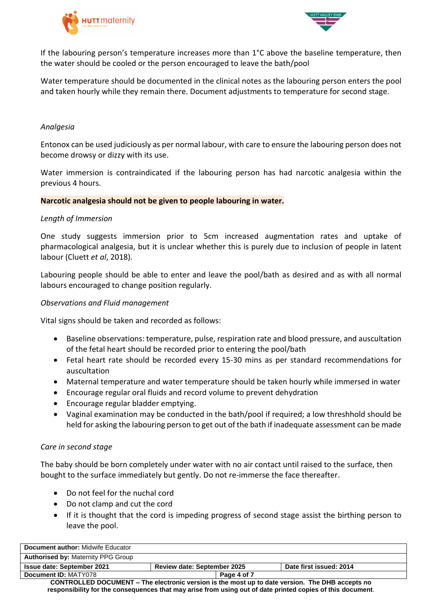



If the labouring person's temperature increases more than 1°C above the baseline temperature, then the water should be cooled or the person encouraged to leave the bath/pool

Water temperature should be documented in the clinical notes as the labouring person enters the pool and taken hourly while they remain there. Document adjustments to temperature for second stage.

#### *Analgesia*

Entonox can be used judiciously as per normal labour, with care to ensure the labouring person does not become drowsy or dizzy with its use.

Water immersion is contraindicated if the labouring person has had narcotic analgesia within the previous 4 hours.

#### **Narcotic analgesia should not be given to people labouring in water.**

#### *Length of Immersion*

One study suggests immersion prior to 5cm increased augmentation rates and uptake of pharmacological analgesia, but it is unclear whether this is purely due to inclusion of people in latent labour (Cluett *et al*, 2018).

Labouring people should be able to enter and leave the pool/bath as desired and as with all normal labours encouraged to change position regularly.

#### *Observations and Fluid management*

Vital signs should be taken and recorded as follows:

- Baseline observations: temperature, pulse, respiration rate and blood pressure, and auscultation of the fetal heart should be recorded prior to entering the pool/bath
- Fetal heart rate should be recorded every 15-30 mins as per standard recommendations for auscultation
- Maternal temperature and water temperature should be taken hourly while immersed in water
- Encourage regular oral fluids and record volume to prevent dehydration
- Encourage regular bladder emptying.
- Vaginal examination may be conducted in the bath/pool if required; a low threshhold should be held for asking the labouring person to get out of the bath if inadequate assessment can be made

#### *Care in second stage*

The baby should be born completely under water with no air contact until raised to the surface, then bought to the surface immediately but gently. Do not re-immerse the face thereafter.

- Do not feel for the nuchal cord
- Do not clamp and cut the cord
- If it is thought that the cord is impeding progress of second stage assist the birthing person to leave the pool.

| Document author: Midwife Educator                                                               |                                    |             |                         |
|-------------------------------------------------------------------------------------------------|------------------------------------|-------------|-------------------------|
| <b>Authorised by: Maternity PPG Group</b>                                                       |                                    |             |                         |
| Issue date: September 2021                                                                      | <b>Review date: September 2025</b> |             | Date first issued: 2014 |
| Document ID: MATY078                                                                            |                                    | Page 4 of 7 |                         |
| CONTROLLED DOCUMENT – The electronic version is the most up to date version. The DHB accepts no |                                    |             |                         |

**responsibility for the consequences that may arise from using out of date printed copies of this document**.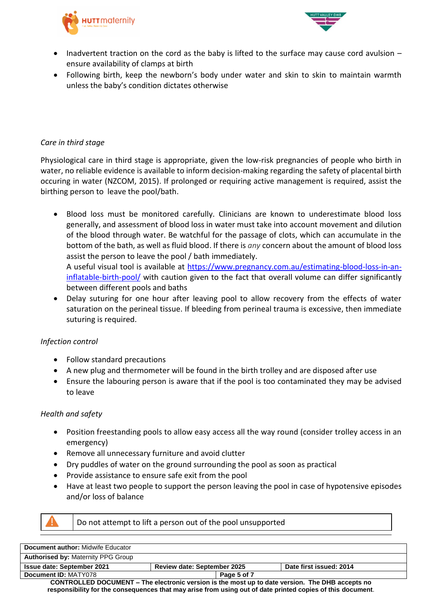



- Inadvertent traction on the cord as the baby is lifted to the surface may cause cord avulsion ensure availability of clamps at birth
- Following birth, keep the newborn's body under water and skin to skin to maintain warmth unless the baby's condition dictates otherwise

#### *Care in third stage*

Physiological care in third stage is appropriate, given the low-risk pregnancies of people who birth in water, no reliable evidence is available to inform decision-making regarding the safety of placental birth occuring in water (NZCOM, 2015). If prolonged or requiring active management is required, assist the birthing person to leave the pool/bath.

- Blood loss must be monitored carefully. Clinicians are known to underestimate blood loss generally, and assessment of blood loss in water must take into account movement and dilution of the blood through water. Be watchful for the passage of clots, which can accumulate in the bottom of the bath, as well as fluid blood. If there is *any* concern about the amount of blood loss assist the person to leave the pool / bath immediately. A useful visual tool is available at [https://www.pregnancy.com.au/estimating-blood-loss-in-an](https://www.pregnancy.com.au/estimating-blood-loss-in-an-inflatable-birth-pool/)[inflatable-birth-pool/](https://www.pregnancy.com.au/estimating-blood-loss-in-an-inflatable-birth-pool/) with caution given to the fact that overall volume can differ significantly between different pools and baths
- Delay suturing for one hour after leaving pool to allow recovery from the effects of water saturation on the perineal tissue. If bleeding from perineal trauma is excessive, then immediate suturing is required.

#### *Infection control*

- Follow standard precautions
- A new plug and thermometer will be found in the birth trolley and are disposed after use
- Ensure the labouring person is aware that if the pool is too contaminated they may be advised to leave

#### *Health and safety*

- Position freestanding pools to allow easy access all the way round (consider trolley access in an emergency)
- Remove all unnecessary furniture and avoid clutter
- Dry puddles of water on the ground surrounding the pool as soon as practical
- Provide assistance to ensure safe exit from the pool
- Have at least two people to support the person leaving the pool in case of hypotensive episodes and/or loss of balance



Do not attempt to lift a person out of the pool unsupported

| <b>Document author: Midwife Educator</b>                                                                   |                                    |                         |  |
|------------------------------------------------------------------------------------------------------------|------------------------------------|-------------------------|--|
| <b>Authorised by: Maternity PPG Group</b>                                                                  |                                    |                         |  |
| <b>Issue date: September 2021</b>                                                                          | <b>Review date: September 2025</b> | Date first issued: 2014 |  |
| Document ID: MATY078                                                                                       | Page 5 of 7                        |                         |  |
| CONTROLLED DOCUMENT – The electronic version is the most up to date version. The DHB accepts no            |                                    |                         |  |
| responsibility for the consequences that may arise from using out of date printed copies of this document. |                                    |                         |  |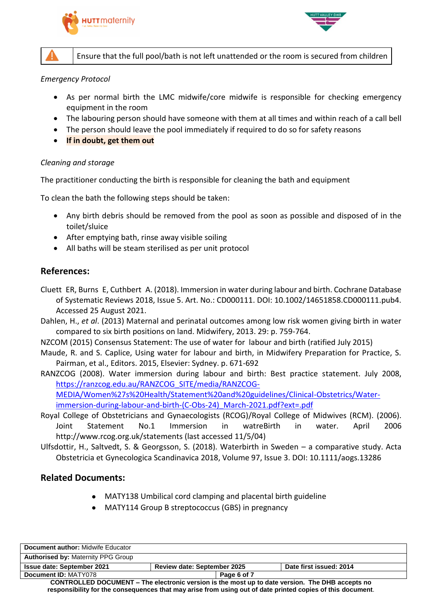



Ensure that the full pool/bath is not left unattended or the room is secured from children

#### *Emergency Protocol*

- As per normal birth the LMC midwife/core midwife is responsible for checking emergency equipment in the room
- The labouring person should have someone with them at all times and within reach of a call bell
- The person should leave the pool immediately if required to do so for safety reasons
- **If in doubt, get them out**

#### *Cleaning and storage*

The practitioner conducting the birth is responsible for cleaning the bath and equipment

To clean the bath the following steps should be taken:

- Any birth debris should be removed from the pool as soon as possible and disposed of in the toilet/sluice
- After emptying bath, rinse away visible soiling
- All baths will be steam sterilised as per unit protocol

## **References:**

- Cluett ER, Burns E, Cuthbert A. (2018). Immersion in water during labour and birth. Cochrane Database of Systematic Reviews 2018, Issue 5. Art. No.: CD000111. DOI: 10.1002/14651858.CD000111.pub4. Accessed 25 August 2021.
- Dahlen, H., *et al*. (2013) Maternal and perinatal outcomes among low risk women giving birth in water compared to six birth positions on land. Midwifery, 2013. 29: p. 759-764.
- NZCOM (2015) Consensus Statement: The use of water for labour and birth (ratified July 2015)
- Maude, R. and S. Caplice, Using water for labour and birth, in Midwifery Preparation for Practice, S. Pairman, et al., Editors. 2015, Elsevier: Sydney. p. 671-692
- RANZCOG (2008). Water immersion during labour and birth: Best practice statement. July 2008, [https://ranzcog.edu.au/RANZCOG\\_SITE/media/RANZCOG-](https://ranzcog.edu.au/RANZCOG_SITE/media/RANZCOG-MEDIA/Women%27s%20Health/Statement%20and%20guidelines/Clinical-Obstetrics/Water-immersion-during-labour-and-birth-(C-Obs-24)_March-2021.pdf?ext=.pdf)[MEDIA/Women%27s%20Health/Statement%20and%20guidelines/Clinical-Obstetrics/Water](https://ranzcog.edu.au/RANZCOG_SITE/media/RANZCOG-MEDIA/Women%27s%20Health/Statement%20and%20guidelines/Clinical-Obstetrics/Water-immersion-during-labour-and-birth-(C-Obs-24)_March-2021.pdf?ext=.pdf)
	- [immersion-during-labour-and-birth-\(C-Obs-24\)\\_March-2021.pdf?ext=.pdf](https://ranzcog.edu.au/RANZCOG_SITE/media/RANZCOG-MEDIA/Women%27s%20Health/Statement%20and%20guidelines/Clinical-Obstetrics/Water-immersion-during-labour-and-birth-(C-Obs-24)_March-2021.pdf?ext=.pdf)
- Royal College of Obstetricians and Gynaecologists (RCOG)/Royal College of Midwives (RCM). (2006). Joint Statement No.1 Immersion in watreBirth in water. April 2006 http://www.rcog.org.uk/statements (last accessed 11/5/04)
- Ulfsdottir, H., Saltvedt, S. & Georgsson, S. (2018). Waterbirth in Sweden a comparative study. Acta Obstetricia et Gynecologica Scandinavica 2018, Volume 97, Issue 3. DOI: 10.1111/aogs.13286

### **Related Documents:**

- MATY138 Umbilical cord clamping and placental birth guideline
- MATY114 Group B streptococcus (GBS) in pregnancy

| <b>Document author: Midwife Educator</b>                                                                   |                                    |                         |  |
|------------------------------------------------------------------------------------------------------------|------------------------------------|-------------------------|--|
| <b>Authorised by: Maternity PPG Group</b>                                                                  |                                    |                         |  |
| <b>Issue date: September 2021</b>                                                                          | <b>Review date: September 2025</b> | Date first issued: 2014 |  |
| Document ID: MATY078                                                                                       | Page 6 of 7                        |                         |  |
| <b>CONTROLLED DOCUMENT – The electronic version is the most up to date version. The DHB accepts no</b>     |                                    |                         |  |
| responsibility for the consequences that may arise from using out of date printed copies of this document. |                                    |                         |  |